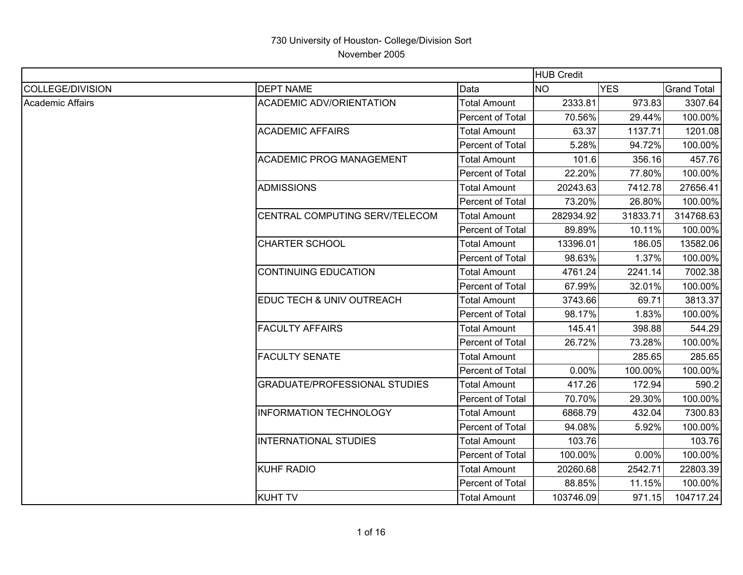|                         |                                      |                         | <b>HUB Credit</b> |            |                    |
|-------------------------|--------------------------------------|-------------------------|-------------------|------------|--------------------|
| <b>COLLEGE/DIVISION</b> | <b>DEPT NAME</b>                     | Data                    | <b>NO</b>         | <b>YES</b> | <b>Grand Total</b> |
| <b>Academic Affairs</b> | <b>ACADEMIC ADV/ORIENTATION</b>      | <b>Total Amount</b>     | 2333.81           | 973.83     | 3307.64            |
|                         |                                      | Percent of Total        | 70.56%            | 29.44%     | 100.00%            |
|                         | <b>ACADEMIC AFFAIRS</b>              | <b>Total Amount</b>     | 63.37             | 1137.71    | 1201.08            |
|                         |                                      | Percent of Total        | 5.28%             | 94.72%     | 100.00%            |
|                         | <b>ACADEMIC PROG MANAGEMENT</b>      | <b>Total Amount</b>     | 101.6             | 356.16     | 457.76             |
|                         |                                      | Percent of Total        | 22.20%            | 77.80%     | 100.00%            |
|                         | <b>ADMISSIONS</b>                    | <b>Total Amount</b>     | 20243.63          | 7412.78    | 27656.41           |
|                         |                                      | <b>Percent of Total</b> | 73.20%            | 26.80%     | 100.00%            |
|                         | CENTRAL COMPUTING SERV/TELECOM       | <b>Total Amount</b>     | 282934.92         | 31833.71   | 314768.63          |
|                         |                                      | Percent of Total        | 89.89%            | 10.11%     | 100.00%            |
|                         | <b>CHARTER SCHOOL</b>                | <b>Total Amount</b>     | 13396.01          | 186.05     | 13582.06           |
|                         |                                      | Percent of Total        | 98.63%            | 1.37%      | 100.00%            |
|                         | <b>CONTINUING EDUCATION</b>          | <b>Total Amount</b>     | 4761.24           | 2241.14    | 7002.38            |
|                         |                                      | Percent of Total        | 67.99%            | 32.01%     | 100.00%            |
|                         | EDUC TECH & UNIV OUTREACH            | <b>Total Amount</b>     | 3743.66           | 69.71      | 3813.37            |
|                         |                                      | <b>Percent of Total</b> | 98.17%            | 1.83%      | 100.00%            |
|                         | <b>FACULTY AFFAIRS</b>               | <b>Total Amount</b>     | 145.41            | 398.88     | 544.29             |
|                         |                                      | Percent of Total        | 26.72%            | 73.28%     | 100.00%            |
|                         | <b>FACULTY SENATE</b>                | Total Amount            |                   | 285.65     | 285.65             |
|                         |                                      | Percent of Total        | 0.00%             | 100.00%    | 100.00%            |
|                         | <b>GRADUATE/PROFESSIONAL STUDIES</b> | <b>Total Amount</b>     | 417.26            | 172.94     | 590.2              |
|                         |                                      | Percent of Total        | 70.70%            | 29.30%     | 100.00%            |
|                         | <b>INFORMATION TECHNOLOGY</b>        | <b>Total Amount</b>     | 6868.79           | 432.04     | 7300.83            |
|                         |                                      | Percent of Total        | 94.08%            | 5.92%      | 100.00%            |
|                         | <b>INTERNATIONAL STUDIES</b>         | <b>Total Amount</b>     | 103.76            |            | 103.76             |
|                         |                                      | Percent of Total        | 100.00%           | 0.00%      | 100.00%            |
|                         | <b>KUHF RADIO</b>                    | <b>Total Amount</b>     | 20260.68          | 2542.71    | 22803.39           |
|                         |                                      | Percent of Total        | 88.85%            | 11.15%     | 100.00%            |
|                         | <b>KUHT TV</b>                       | <b>Total Amount</b>     | 103746.09         | 971.15     | 104717.24          |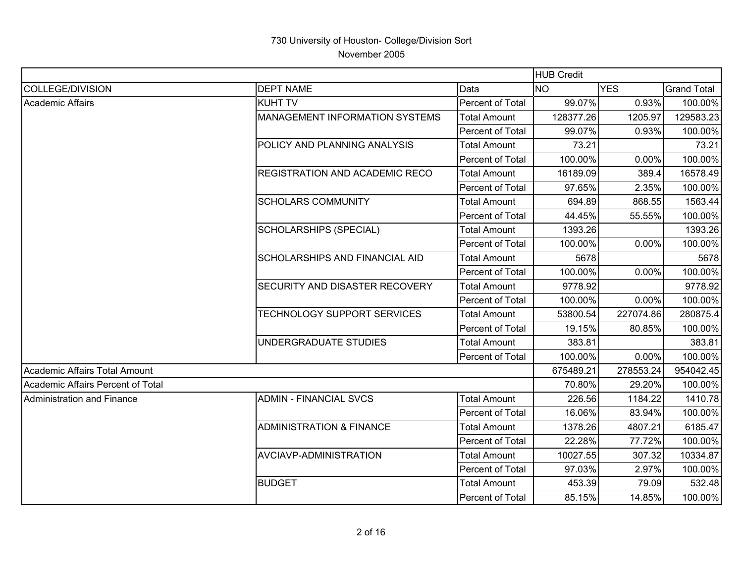|                                   |                                       |                         | <b>HUB Credit</b> |            |                    |
|-----------------------------------|---------------------------------------|-------------------------|-------------------|------------|--------------------|
| COLLEGE/DIVISION                  | <b>DEPT NAME</b>                      | Data                    | <b>NO</b>         | <b>YES</b> | <b>Grand Total</b> |
| Academic Affairs                  | <b>KUHT TV</b>                        | Percent of Total        | 99.07%            | 0.93%      | 100.00%            |
|                                   | <b>MANAGEMENT INFORMATION SYSTEMS</b> | <b>Total Amount</b>     | 128377.26         | 1205.97    | 129583.23          |
|                                   |                                       | Percent of Total        | 99.07%            | 0.93%      | 100.00%            |
|                                   | POLICY AND PLANNING ANALYSIS          | <b>Total Amount</b>     | 73.21             |            | 73.21              |
|                                   |                                       | <b>Percent of Total</b> | 100.00%           | 0.00%      | 100.00%            |
|                                   | <b>REGISTRATION AND ACADEMIC RECO</b> | <b>Total Amount</b>     | 16189.09          | 389.4      | 16578.49           |
|                                   |                                       | Percent of Total        | 97.65%            | 2.35%      | 100.00%            |
|                                   | <b>SCHOLARS COMMUNITY</b>             | <b>Total Amount</b>     | 694.89            | 868.55     | 1563.44            |
|                                   |                                       | Percent of Total        | 44.45%            | 55.55%     | 100.00%            |
|                                   | <b>SCHOLARSHIPS (SPECIAL)</b>         | <b>Total Amount</b>     | 1393.26           |            | 1393.26            |
|                                   |                                       | Percent of Total        | 100.00%           | 0.00%      | 100.00%            |
|                                   | <b>SCHOLARSHIPS AND FINANCIAL AID</b> | <b>Total Amount</b>     | 5678              |            | 5678               |
|                                   |                                       | <b>Percent of Total</b> | 100.00%           | 0.00%      | 100.00%            |
|                                   | SECURITY AND DISASTER RECOVERY        | <b>Total Amount</b>     | 9778.92           |            | 9778.92            |
|                                   |                                       | Percent of Total        | 100.00%           | 0.00%      | 100.00%            |
|                                   | TECHNOLOGY SUPPORT SERVICES           | <b>Total Amount</b>     | 53800.54          | 227074.86  | 280875.4           |
|                                   |                                       | Percent of Total        | 19.15%            | 80.85%     | 100.00%            |
|                                   | UNDERGRADUATE STUDIES                 | <b>Total Amount</b>     | 383.81            |            | 383.81             |
|                                   |                                       | Percent of Total        | 100.00%           | 0.00%      | 100.00%            |
| Academic Affairs Total Amount     |                                       |                         | 675489.21         | 278553.24  | 954042.45          |
| Academic Affairs Percent of Total |                                       |                         | 70.80%            | 29.20%     | 100.00%            |
| Administration and Finance        | <b>ADMIN - FINANCIAL SVCS</b>         | <b>Total Amount</b>     | 226.56            | 1184.22    | 1410.78            |
|                                   |                                       | <b>Percent of Total</b> | 16.06%            | 83.94%     | 100.00%            |
|                                   | <b>ADMINISTRATION &amp; FINANCE</b>   | <b>Total Amount</b>     | 1378.26           | 4807.21    | 6185.47            |
|                                   |                                       | Percent of Total        | 22.28%            | 77.72%     | 100.00%            |
|                                   | AVCIAVP-ADMINISTRATION                | <b>Total Amount</b>     | 10027.55          | 307.32     | 10334.87           |
|                                   |                                       | Percent of Total        | 97.03%            | 2.97%      | 100.00%            |
|                                   | <b>BUDGET</b>                         | <b>Total Amount</b>     | 453.39            | 79.09      | 532.48             |
|                                   |                                       | Percent of Total        | 85.15%            | 14.85%     | 100.00%            |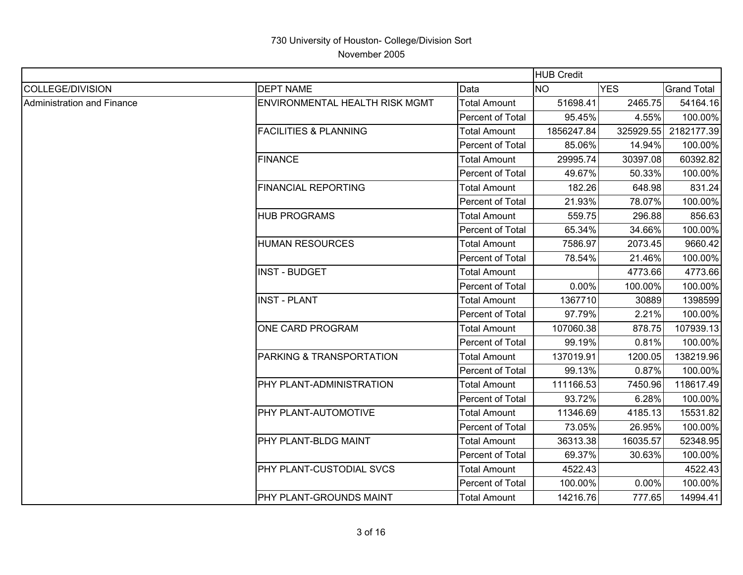|                                   |                                  |                         | <b>HUB Credit</b> |            |                    |
|-----------------------------------|----------------------------------|-------------------------|-------------------|------------|--------------------|
| <b>COLLEGE/DIVISION</b>           | <b>DEPT NAME</b>                 | Data                    | <b>NO</b>         | <b>YES</b> | <b>Grand Total</b> |
| <b>Administration and Finance</b> | ENVIRONMENTAL HEALTH RISK MGMT   | <b>Total Amount</b>     | 51698.41          | 2465.75    | 54164.16           |
|                                   |                                  | Percent of Total        | 95.45%            | 4.55%      | 100.00%            |
|                                   | <b>FACILITIES &amp; PLANNING</b> | <b>Total Amount</b>     | 1856247.84        | 325929.55  | 2182177.39         |
|                                   |                                  | Percent of Total        | 85.06%            | 14.94%     | 100.00%            |
|                                   | <b>FINANCE</b>                   | <b>Total Amount</b>     | 29995.74          | 30397.08   | 60392.82           |
|                                   |                                  | <b>Percent of Total</b> | 49.67%            | 50.33%     | 100.00%            |
|                                   | <b>FINANCIAL REPORTING</b>       | <b>Total Amount</b>     | 182.26            | 648.98     | 831.24             |
|                                   |                                  | Percent of Total        | 21.93%            | 78.07%     | 100.00%            |
|                                   | <b>HUB PROGRAMS</b>              | <b>Total Amount</b>     | 559.75            | 296.88     | 856.63             |
|                                   |                                  | Percent of Total        | 65.34%            | 34.66%     | 100.00%            |
|                                   | <b>HUMAN RESOURCES</b>           | <b>Total Amount</b>     | 7586.97           | 2073.45    | 9660.42            |
|                                   |                                  | <b>Percent of Total</b> | 78.54%            | 21.46%     | 100.00%            |
|                                   | <b>INST - BUDGET</b>             | <b>Total Amount</b>     |                   | 4773.66    | 4773.66            |
|                                   |                                  | Percent of Total        | 0.00%             | 100.00%    | 100.00%            |
|                                   | <b>INST - PLANT</b>              | <b>Total Amount</b>     | 1367710           | 30889      | 1398599            |
|                                   |                                  | Percent of Total        | 97.79%            | 2.21%      | 100.00%            |
|                                   | ONE CARD PROGRAM                 | <b>Total Amount</b>     | 107060.38         | 878.75     | 107939.13          |
|                                   |                                  | Percent of Total        | 99.19%            | 0.81%      | 100.00%            |
|                                   | PARKING & TRANSPORTATION         | <b>Total Amount</b>     | 137019.91         | 1200.05    | 138219.96          |
|                                   |                                  | Percent of Total        | 99.13%            | 0.87%      | 100.00%            |
|                                   | PHY PLANT-ADMINISTRATION         | <b>Total Amount</b>     | 111166.53         | 7450.96    | 118617.49          |
|                                   |                                  | Percent of Total        | 93.72%            | 6.28%      | 100.00%            |
|                                   | PHY PLANT-AUTOMOTIVE             | <b>Total Amount</b>     | 11346.69          | 4185.13    | 15531.82           |
|                                   |                                  | Percent of Total        | 73.05%            | 26.95%     | 100.00%            |
|                                   | PHY PLANT-BLDG MAINT             | <b>Total Amount</b>     | 36313.38          | 16035.57   | 52348.95           |
|                                   |                                  | Percent of Total        | 69.37%            | 30.63%     | 100.00%            |
|                                   | PHY PLANT-CUSTODIAL SVCS         | Total Amount            | 4522.43           |            | 4522.43            |
|                                   |                                  | Percent of Total        | 100.00%           | 0.00%      | 100.00%            |
|                                   | PHY PLANT-GROUNDS MAINT          | <b>Total Amount</b>     | 14216.76          | 777.65     | 14994.41           |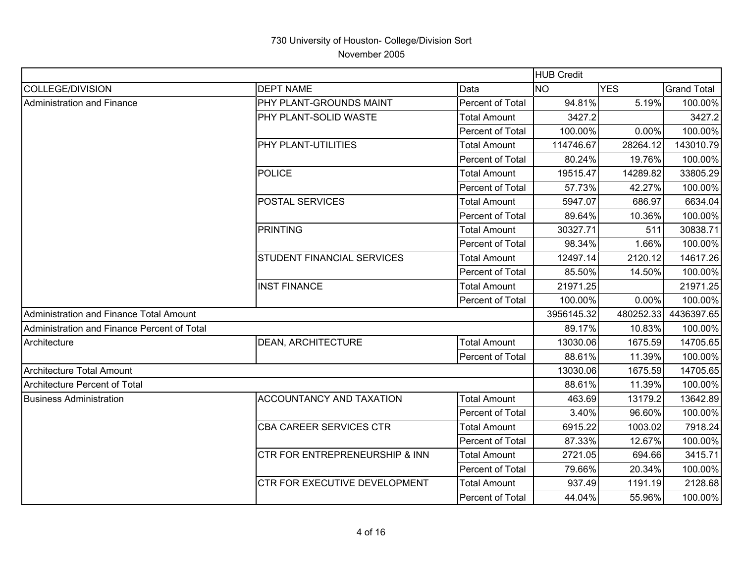|                                             |                                           |                         | <b>HUB Credit</b> |            |                    |
|---------------------------------------------|-------------------------------------------|-------------------------|-------------------|------------|--------------------|
| <b>COLLEGE/DIVISION</b>                     | <b>DEPT NAME</b>                          | Data                    | <b>NO</b>         | <b>YES</b> | <b>Grand Total</b> |
| Administration and Finance                  | PHY PLANT-GROUNDS MAINT                   | Percent of Total        | 94.81%            | 5.19%      | 100.00%            |
|                                             | <b>PHY PLANT-SOLID WASTE</b>              | <b>Total Amount</b>     | 3427.2            |            | 3427.2             |
|                                             |                                           | Percent of Total        | 100.00%           | 0.00%      | 100.00%            |
|                                             | <b>PHY PLANT-UTILITIES</b>                | Total Amount            | 114746.67         | 28264.12   | 143010.79          |
|                                             |                                           | Percent of Total        | 80.24%            | 19.76%     | 100.00%            |
|                                             | <b>POLICE</b>                             | <b>Total Amount</b>     | 19515.47          | 14289.82   | 33805.29           |
|                                             |                                           | Percent of Total        | 57.73%            | 42.27%     | 100.00%            |
|                                             | <b>POSTAL SERVICES</b>                    | <b>Total Amount</b>     | 5947.07           | 686.97     | 6634.04            |
|                                             |                                           | <b>Percent of Total</b> | 89.64%            | 10.36%     | 100.00%            |
|                                             | PRINTING                                  | <b>Total Amount</b>     | 30327.71          | 511        | 30838.71           |
|                                             |                                           | Percent of Total        | 98.34%            | 1.66%      | 100.00%            |
|                                             | <b>STUDENT FINANCIAL SERVICES</b>         | <b>Total Amount</b>     | 12497.14          | 2120.12    | 14617.26           |
|                                             |                                           | Percent of Total        | 85.50%            | 14.50%     | 100.00%            |
|                                             | <b>INST FINANCE</b>                       | <b>Total Amount</b>     | 21971.25          |            | 21971.25           |
|                                             |                                           | Percent of Total        | 100.00%           | 0.00%      | 100.00%            |
| Administration and Finance Total Amount     |                                           |                         | 3956145.32        | 480252.33  | 4436397.65         |
| Administration and Finance Percent of Total |                                           |                         | 89.17%            | 10.83%     | 100.00%            |
| Architecture                                | <b>DEAN, ARCHITECTURE</b>                 | <b>Total Amount</b>     | 13030.06          | 1675.59    | 14705.65           |
|                                             |                                           | Percent of Total        | 88.61%            | 11.39%     | 100.00%            |
| Architecture Total Amount                   |                                           |                         | 13030.06          | 1675.59    | 14705.65           |
| <b>Architecture Percent of Total</b>        |                                           |                         | 88.61%            | 11.39%     | 100.00%            |
| <b>Business Administration</b>              | <b>ACCOUNTANCY AND TAXATION</b>           | <b>Total Amount</b>     | 463.69            | 13179.2    | 13642.89           |
|                                             |                                           | Percent of Total        | 3.40%             | 96.60%     | 100.00%            |
|                                             | <b>CBA CAREER SERVICES CTR</b>            | Total Amount            | 6915.22           | 1003.02    | 7918.24            |
|                                             |                                           | Percent of Total        | 87.33%            | 12.67%     | 100.00%            |
|                                             | <b>CTR FOR ENTREPRENEURSHIP &amp; INN</b> | <b>Total Amount</b>     | 2721.05           | 694.66     | 3415.71            |
|                                             |                                           | Percent of Total        | 79.66%            | 20.34%     | 100.00%            |
|                                             | CTR FOR EXECUTIVE DEVELOPMENT             | <b>Total Amount</b>     | 937.49            | 1191.19    | 2128.68            |
|                                             |                                           | Percent of Total        | 44.04%            | 55.96%     | 100.00%            |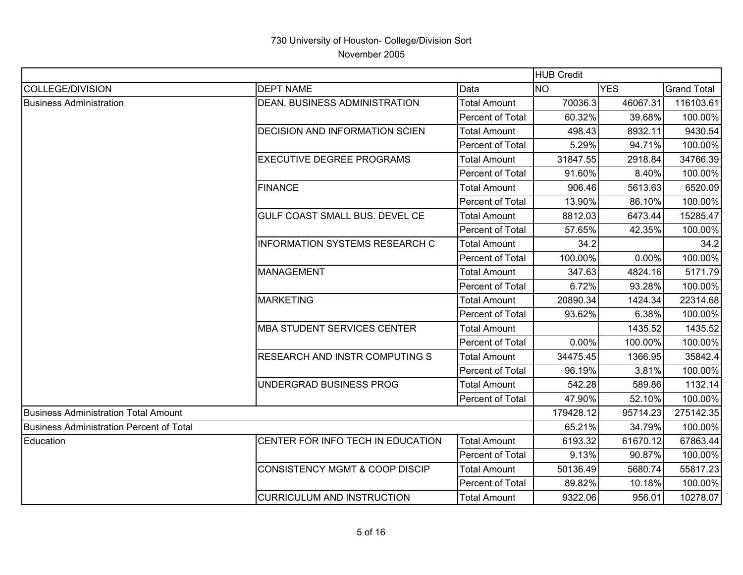|                                             |                                       |                     | <b>HUB Credit</b> |            |                    |
|---------------------------------------------|---------------------------------------|---------------------|-------------------|------------|--------------------|
| COLLEGE/DIVISION                            | <b>DEPT NAME</b>                      | Data                | <b>NO</b>         | <b>YES</b> | <b>Grand Total</b> |
| <b>Business Administration</b>              | DEAN, BUSINESS ADMINISTRATION         | <b>Total Amount</b> | 70036.3           | 46067.31   | 116103.61          |
|                                             |                                       | Percent of Total    | 60.32%            | 39.68%     | 100.00%            |
|                                             | <b>DECISION AND INFORMATION SCIEN</b> | <b>Total Amount</b> | 498.43            | 8932.11    | 9430.54            |
|                                             |                                       | Percent of Total    | 5.29%             | 94.71%     | 100.00%            |
|                                             | <b>EXECUTIVE DEGREE PROGRAMS</b>      | <b>Total Amount</b> | 31847.55          | 2918.84    | 34766.39           |
|                                             |                                       | Percent of Total    | 91.60%            | 8.40%      | 100.00%            |
|                                             | FINANCE                               | Total Amount        | 906.46            | 5613.63    | 6520.09            |
|                                             |                                       | Percent of Total    | 13.90%            | 86.10%     | 100.00%            |
|                                             | GULF COAST SMALL BUS. DEVEL CE        | Total Amount        | 8812.03           | 6473.44    | 15285.47           |
|                                             |                                       | Percent of Total    | 57.65%            | 42.35%     | 100.00%            |
|                                             | <b>INFORMATION SYSTEMS RESEARCH C</b> | <b>Total Amount</b> | 34.2              |            | 34.2               |
|                                             |                                       | Percent of Total    | 100.00%           | 0.00%      | 100.00%            |
|                                             | MANAGEMENT                            | Total Amount        | 347.63            | 4824.16    | 5171.79            |
|                                             |                                       | Percent of Total    | 6.72%             | 93.28%     | 100.00%            |
|                                             | MARKETING                             | <b>Total Amount</b> | 20890.34          | 1424.34    | 22314.68           |
|                                             |                                       | Percent of Total    | 93.62%            | 6.38%      | 100.00%            |
|                                             | MBA STUDENT SERVICES CENTER           | <b>Total Amount</b> |                   | 1435.52    | 1435.52            |
|                                             |                                       | Percent of Total    | 0.00%             | 100.00%    | 100.00%            |
|                                             | <b>RESEARCH AND INSTR COMPUTING S</b> | <b>Total Amount</b> | 34475.45          | 1366.95    | 35842.4            |
|                                             |                                       | Percent of Total    | 96.19%            | 3.81%      | 100.00%            |
|                                             | UNDERGRAD BUSINESS PROG               | <b>Total Amount</b> | 542.28            | 589.86     | 1132.14            |
|                                             |                                       | Percent of Total    | 47.90%            | 52.10%     | 100.00%            |
| <b>Business Administration Total Amount</b> |                                       |                     | 179428.12         | 95714.23   | 275142.35          |
| Business Administration Percent of Total    |                                       |                     | 65.21%            | 34.79%     | 100.00%            |
| Education                                   | CENTER FOR INFO TECH IN EDUCATION     | <b>Total Amount</b> | 6193.32           | 61670.12   | 67863.44           |
|                                             |                                       | Percent of Total    | 9.13%             | 90.87%     | 100.00%            |
|                                             | CONSISTENCY MGMT & COOP DISCIP        | <b>Total Amount</b> | 50136.49          | 5680.74    | 55817.23           |
|                                             |                                       | Percent of Total    | 89.82%            | 10.18%     | 100.00%            |
|                                             | <b>CURRICULUM AND INSTRUCTION</b>     | <b>Total Amount</b> | 9322.06           | 956.01     | 10278.07           |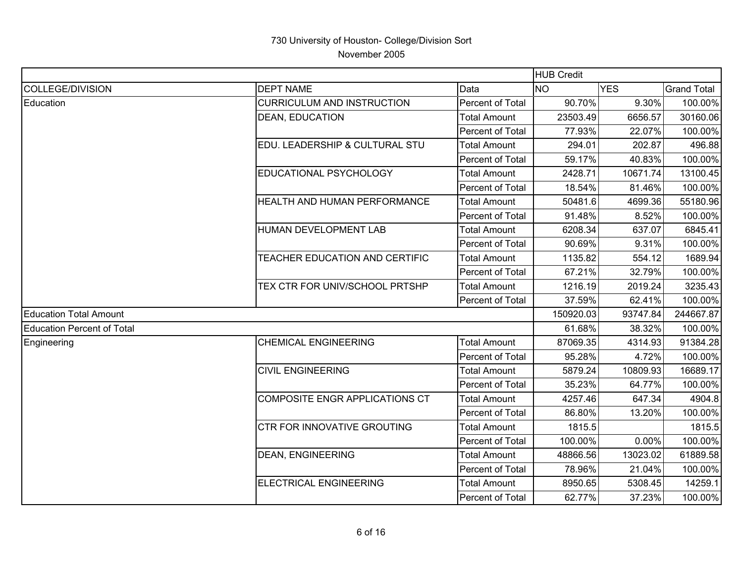|                                   |                                     |                         | <b>HUB Credit</b> |            |                    |
|-----------------------------------|-------------------------------------|-------------------------|-------------------|------------|--------------------|
| COLLEGE/DIVISION                  | <b>DEPT NAME</b>                    | Data                    | <b>NO</b>         | <b>YES</b> | <b>Grand Total</b> |
| Education                         | <b>CURRICULUM AND INSTRUCTION</b>   | Percent of Total        | 90.70%            | 9.30%      | 100.00%            |
|                                   | <b>DEAN, EDUCATION</b>              | <b>Total Amount</b>     | 23503.49          | 6656.57    | 30160.06           |
|                                   |                                     | Percent of Total        | 77.93%            | 22.07%     | 100.00%            |
|                                   | EDU. LEADERSHIP & CULTURAL STU      | Total Amount            | 294.01            | 202.87     | 496.88             |
|                                   |                                     | Percent of Total        | 59.17%            | 40.83%     | 100.00%            |
|                                   | <b>EDUCATIONAL PSYCHOLOGY</b>       | <b>Total Amount</b>     | 2428.71           | 10671.74   | 13100.45           |
|                                   |                                     | Percent of Total        | 18.54%            | 81.46%     | 100.00%            |
|                                   | <b>HEALTH AND HUMAN PERFORMANCE</b> | <b>Total Amount</b>     | 50481.6           | 4699.36    | 55180.96           |
|                                   |                                     | Percent of Total        | 91.48%            | 8.52%      | 100.00%            |
|                                   | HUMAN DEVELOPMENT LAB               | <b>Total Amount</b>     | 6208.34           | 637.07     | 6845.41            |
|                                   |                                     | <b>Percent of Total</b> | 90.69%            | 9.31%      | 100.00%            |
|                                   | TEACHER EDUCATION AND CERTIFIC      | <b>Total Amount</b>     | 1135.82           | 554.12     | 1689.94            |
|                                   |                                     | Percent of Total        | 67.21%            | 32.79%     | 100.00%            |
|                                   | TEX CTR FOR UNIV/SCHOOL PRTSHP      | <b>Total Amount</b>     | 1216.19           | 2019.24    | 3235.43            |
|                                   |                                     | Percent of Total        | 37.59%            | 62.41%     | 100.00%            |
| <b>Education Total Amount</b>     |                                     |                         | 150920.03         | 93747.84   | 244667.87          |
| <b>Education Percent of Total</b> |                                     |                         | 61.68%            | 38.32%     | 100.00%            |
| Engineering                       | <b>CHEMICAL ENGINEERING</b>         | <b>Total Amount</b>     | 87069.35          | 4314.93    | 91384.28           |
|                                   |                                     | Percent of Total        | 95.28%            | 4.72%      | 100.00%            |
|                                   | <b>CIVIL ENGINEERING</b>            | <b>Total Amount</b>     | 5879.24           | 10809.93   | 16689.17           |
|                                   |                                     | <b>Percent of Total</b> | 35.23%            | 64.77%     | 100.00%            |
|                                   | COMPOSITE ENGR APPLICATIONS CT      | <b>Total Amount</b>     | 4257.46           | 647.34     | 4904.8             |
|                                   |                                     | Percent of Total        | 86.80%            | 13.20%     | 100.00%            |
|                                   | <b>CTR FOR INNOVATIVE GROUTING</b>  | Total Amount            | 1815.5            |            | 1815.5             |
|                                   |                                     | Percent of Total        | 100.00%           | 0.00%      | 100.00%            |
|                                   | <b>DEAN, ENGINEERING</b>            | <b>Total Amount</b>     | 48866.56          | 13023.02   | 61889.58           |
|                                   |                                     | Percent of Total        | 78.96%            | 21.04%     | 100.00%            |
|                                   | ELECTRICAL ENGINEERING              | <b>Total Amount</b>     | 8950.65           | 5308.45    | 14259.1            |
|                                   |                                     | Percent of Total        | 62.77%            | 37.23%     | 100.00%            |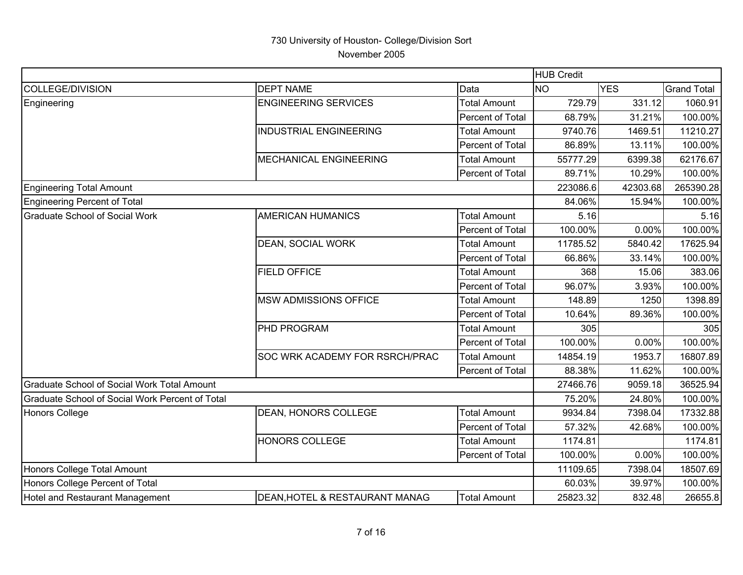|                                                 |                                       |                     | <b>HUB Credit</b> |            |                    |
|-------------------------------------------------|---------------------------------------|---------------------|-------------------|------------|--------------------|
| COLLEGE/DIVISION                                | <b>DEPT NAME</b>                      | Data                | <b>NO</b>         | <b>YES</b> | <b>Grand Total</b> |
| Engineering                                     | <b>ENGINEERING SERVICES</b>           | <b>Total Amount</b> | 729.79            | 331.12     | 1060.91            |
|                                                 |                                       | Percent of Total    | 68.79%            | 31.21%     | 100.00%            |
|                                                 | <b>INDUSTRIAL ENGINEERING</b>         | <b>Total Amount</b> | 9740.76           | 1469.51    | 11210.27           |
|                                                 |                                       | Percent of Total    | 86.89%            | 13.11%     | 100.00%            |
|                                                 | MECHANICAL ENGINEERING                | <b>Total Amount</b> | 55777.29          | 6399.38    | 62176.67           |
|                                                 |                                       | Percent of Total    | 89.71%            | 10.29%     | 100.00%            |
| <b>Engineering Total Amount</b>                 |                                       |                     | 223086.6          | 42303.68   | 265390.28          |
| Engineering Percent of Total                    |                                       |                     | 84.06%            | 15.94%     | 100.00%            |
| Graduate School of Social Work                  | <b>AMERICAN HUMANICS</b>              | <b>Total Amount</b> | 5.16              |            | 5.16               |
|                                                 |                                       | Percent of Total    | 100.00%           | 0.00%      | 100.00%            |
|                                                 | <b>DEAN, SOCIAL WORK</b>              | <b>Total Amount</b> | 11785.52          | 5840.42    | 17625.94           |
|                                                 |                                       | Percent of Total    | 66.86%            | 33.14%     | 100.00%            |
|                                                 | <b>FIELD OFFICE</b>                   | <b>Total Amount</b> | 368               | 15.06      | 383.06             |
|                                                 |                                       | Percent of Total    | 96.07%            | 3.93%      | 100.00%            |
|                                                 | <b>MSW ADMISSIONS OFFICE</b>          | <b>Total Amount</b> | 148.89            | 1250       | 1398.89            |
|                                                 |                                       | Percent of Total    | 10.64%            | 89.36%     | 100.00%            |
|                                                 | <b>PHD PROGRAM</b>                    | <b>Total Amount</b> | 305               |            | 305                |
|                                                 |                                       | Percent of Total    | 100.00%           | 0.00%      | 100.00%            |
|                                                 | <b>SOC WRK ACADEMY FOR RSRCH/PRAC</b> | <b>Total Amount</b> | 14854.19          | 1953.7     | 16807.89           |
|                                                 |                                       | Percent of Total    | 88.38%            | 11.62%     | 100.00%            |
| Graduate School of Social Work Total Amount     |                                       |                     | 27466.76          | 9059.18    | 36525.94           |
| Graduate School of Social Work Percent of Total |                                       |                     | 75.20%            | 24.80%     | 100.00%            |
| Honors College                                  | <b>DEAN, HONORS COLLEGE</b>           | <b>Total Amount</b> | 9934.84           | 7398.04    | 17332.88           |
|                                                 |                                       | Percent of Total    | 57.32%            | 42.68%     | 100.00%            |
|                                                 | <b>HONORS COLLEGE</b>                 | <b>Total Amount</b> | 1174.81           |            | 1174.81            |
|                                                 |                                       | Percent of Total    | 100.00%           | 0.00%      | 100.00%            |
| Honors College Total Amount                     |                                       |                     | 11109.65          | 7398.04    | 18507.69           |
| Honors College Percent of Total                 |                                       |                     | 60.03%            | 39.97%     | 100.00%            |
| Hotel and Restaurant Management                 | DEAN, HOTEL & RESTAURANT MANAG        | <b>Total Amount</b> | 25823.32          | 832.48     | 26655.8            |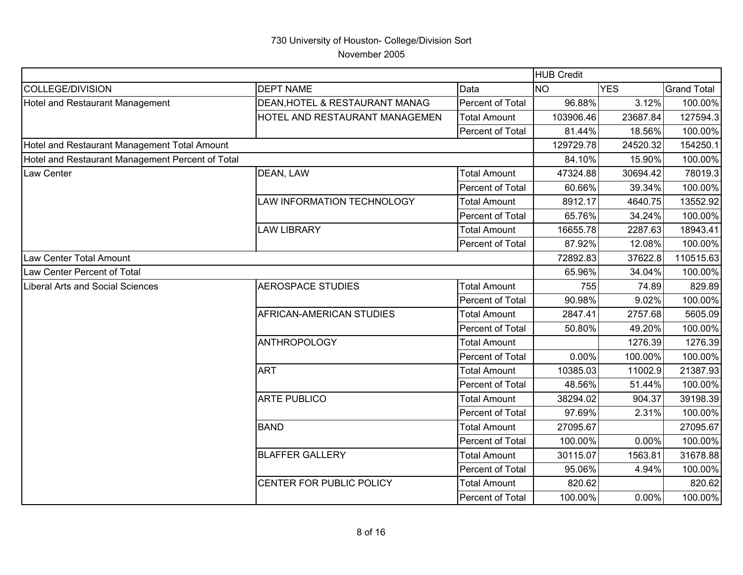|                                                  |                                |                     | HUB Credit |            |                    |
|--------------------------------------------------|--------------------------------|---------------------|------------|------------|--------------------|
| <b>COLLEGE/DIVISION</b>                          | <b>DEPT NAME</b>               | Data                | <b>NO</b>  | <b>YES</b> | <b>Grand Total</b> |
| Hotel and Restaurant Management                  | DEAN, HOTEL & RESTAURANT MANAG | Percent of Total    | 96.88%     | 3.12%      | 100.00%            |
|                                                  | HOTEL AND RESTAURANT MANAGEMEN | <b>Total Amount</b> | 103906.46  | 23687.84   | 127594.3           |
|                                                  |                                | Percent of Total    | 81.44%     | 18.56%     | 100.00%            |
| Hotel and Restaurant Management Total Amount     |                                |                     | 129729.78  | 24520.32   | 154250.1           |
| Hotel and Restaurant Management Percent of Total |                                |                     | 84.10%     | 15.90%     | 100.00%            |
| Law Center                                       | DEAN, LAW                      | <b>Total Amount</b> | 47324.88   | 30694.42   | 78019.3            |
|                                                  |                                | Percent of Total    | 60.66%     | 39.34%     | 100.00%            |
|                                                  | LAW INFORMATION TECHNOLOGY     | <b>Total Amount</b> | 8912.17    | 4640.75    | 13552.92           |
|                                                  |                                | Percent of Total    | 65.76%     | 34.24%     | 100.00%            |
|                                                  | <b>LAW LIBRARY</b>             | <b>Total Amount</b> | 16655.78   | 2287.63    | 18943.41           |
|                                                  |                                | Percent of Total    | 87.92%     | 12.08%     | 100.00%            |
| Law Center Total Amount                          |                                | 72892.83            | 37622.8    | 110515.63  |                    |
| Law Center Percent of Total                      |                                |                     | 65.96%     | 34.04%     | 100.00%            |
| <b>Liberal Arts and Social Sciences</b>          | <b>AEROSPACE STUDIES</b>       | <b>Total Amount</b> | 755        | 74.89      | 829.89             |
|                                                  |                                | Percent of Total    | 90.98%     | 9.02%      | 100.00%            |
|                                                  | AFRICAN-AMERICAN STUDIES       | <b>Total Amount</b> | 2847.41    | 2757.68    | 5605.09            |
|                                                  |                                | Percent of Total    | 50.80%     | 49.20%     | 100.00%            |
|                                                  | <b>ANTHROPOLOGY</b>            | <b>Total Amount</b> |            | 1276.39    | 1276.39            |
|                                                  |                                | Percent of Total    | 0.00%      | 100.00%    | 100.00%            |
|                                                  | <b>ART</b>                     | <b>Total Amount</b> | 10385.03   | 11002.9    | 21387.93           |
|                                                  |                                | Percent of Total    | 48.56%     | 51.44%     | 100.00%            |
|                                                  | <b>ARTE PUBLICO</b>            | <b>Total Amount</b> | 38294.02   | 904.37     | 39198.39           |
|                                                  |                                | Percent of Total    | 97.69%     | 2.31%      | 100.00%            |
|                                                  | <b>BAND</b>                    | <b>Total Amount</b> | 27095.67   |            | 27095.67           |
|                                                  |                                | Percent of Total    | 100.00%    | 0.00%      | 100.00%            |
|                                                  | <b>BLAFFER GALLERY</b>         | <b>Total Amount</b> | 30115.07   | 1563.81    | 31678.88           |
|                                                  |                                | Percent of Total    | 95.06%     | 4.94%      | 100.00%            |
|                                                  | CENTER FOR PUBLIC POLICY       | <b>Total Amount</b> | 820.62     |            | 820.62             |
|                                                  |                                | Percent of Total    | 100.00%    | 0.00%      | 100.00%            |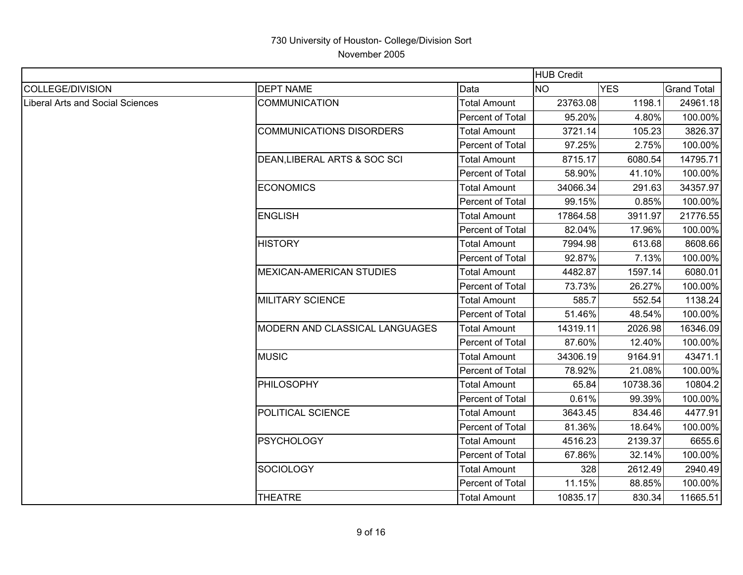|                                         |                                 |                         | <b>HUB Credit</b> |            |                    |
|-----------------------------------------|---------------------------------|-------------------------|-------------------|------------|--------------------|
| <b>COLLEGE/DIVISION</b>                 | <b>DEPT NAME</b>                | Data                    | <b>NO</b>         | <b>YES</b> | <b>Grand Total</b> |
| <b>Liberal Arts and Social Sciences</b> | <b>COMMUNICATION</b>            | <b>Total Amount</b>     | 23763.08          | 1198.1     | 24961.18           |
|                                         |                                 | Percent of Total        | 95.20%            | 4.80%      | 100.00%            |
|                                         | <b>COMMUNICATIONS DISORDERS</b> | <b>Total Amount</b>     | 3721.14           | 105.23     | 3826.37            |
|                                         |                                 | <b>Percent of Total</b> | 97.25%            | 2.75%      | 100.00%            |
|                                         | DEAN, LIBERAL ARTS & SOC SCI    | <b>Total Amount</b>     | 8715.17           | 6080.54    | 14795.71           |
|                                         |                                 | Percent of Total        | 58.90%            | 41.10%     | 100.00%            |
|                                         | <b>ECONOMICS</b>                | <b>Total Amount</b>     | 34066.34          | 291.63     | 34357.97           |
|                                         |                                 | Percent of Total        | 99.15%            | 0.85%      | 100.00%            |
|                                         | <b>ENGLISH</b>                  | Total Amount            | 17864.58          | 3911.97    | 21776.55           |
|                                         |                                 | Percent of Total        | 82.04%            | 17.96%     | 100.00%            |
|                                         | <b>HISTORY</b>                  | <b>Total Amount</b>     | 7994.98           | 613.68     | 8608.66            |
|                                         |                                 | <b>Percent of Total</b> | 92.87%            | 7.13%      | 100.00%            |
|                                         | <b>MEXICAN-AMERICAN STUDIES</b> | <b>Total Amount</b>     | 4482.87           | 1597.14    | 6080.01            |
|                                         |                                 | Percent of Total        | 73.73%            | 26.27%     | 100.00%            |
|                                         | <b>MILITARY SCIENCE</b>         | <b>Total Amount</b>     | 585.7             | 552.54     | 1138.24            |
|                                         |                                 | Percent of Total        | 51.46%            | 48.54%     | 100.00%            |
|                                         | MODERN AND CLASSICAL LANGUAGES  | <b>Total Amount</b>     | 14319.11          | 2026.98    | 16346.09           |
|                                         |                                 | Percent of Total        | 87.60%            | 12.40%     | 100.00%            |
|                                         | <b>MUSIC</b>                    | <b>Total Amount</b>     | 34306.19          | 9164.91    | 43471.1            |
|                                         |                                 | Percent of Total        | 78.92%            | 21.08%     | 100.00%            |
|                                         | <b>PHILOSOPHY</b>               | <b>Total Amount</b>     | 65.84             | 10738.36   | 10804.2            |
|                                         |                                 | Percent of Total        | 0.61%             | 99.39%     | 100.00%            |
|                                         | POLITICAL SCIENCE               | <b>Total Amount</b>     | 3643.45           | 834.46     | 4477.91            |
|                                         |                                 | Percent of Total        | 81.36%            | 18.64%     | 100.00%            |
|                                         | <b>PSYCHOLOGY</b>               | <b>Total Amount</b>     | 4516.23           | 2139.37    | 6655.6             |
|                                         |                                 | Percent of Total        | 67.86%            | 32.14%     | 100.00%            |
|                                         | <b>SOCIOLOGY</b>                | <b>Total Amount</b>     | 328               | 2612.49    | 2940.49            |
|                                         |                                 | Percent of Total        | 11.15%            | 88.85%     | 100.00%            |
|                                         | <b>THEATRE</b>                  | <b>Total Amount</b>     | 10835.17          | 830.34     | 11665.51           |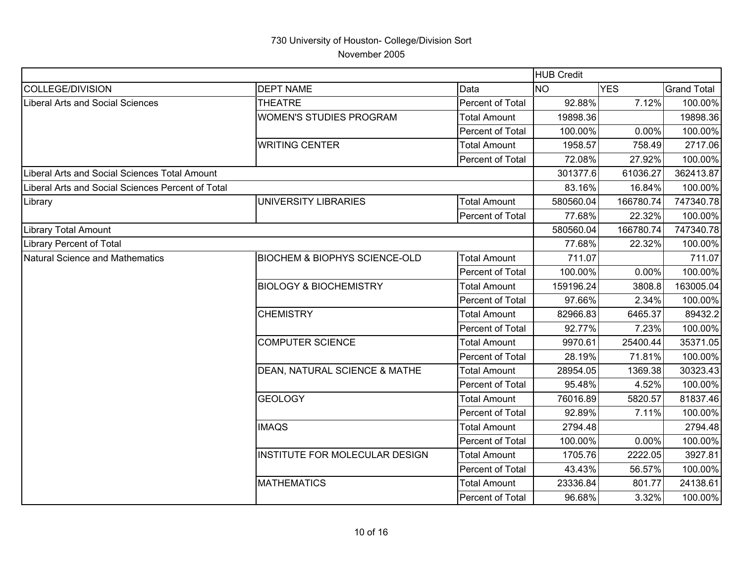|                                                   |                                          |                     | <b>HUB Credit</b> |            |                    |
|---------------------------------------------------|------------------------------------------|---------------------|-------------------|------------|--------------------|
| COLLEGE/DIVISION                                  | <b>DEPT NAME</b>                         | Data                | <b>NO</b>         | <b>YES</b> | <b>Grand Total</b> |
| Liberal Arts and Social Sciences                  | <b>THEATRE</b>                           | Percent of Total    | 92.88%            | 7.12%      | 100.00%            |
|                                                   | <b>WOMEN'S STUDIES PROGRAM</b>           | <b>Total Amount</b> | 19898.36          |            | 19898.36           |
|                                                   |                                          | Percent of Total    | 100.00%           | 0.00%      | 100.00%            |
|                                                   | <b>WRITING CENTER</b>                    | <b>Total Amount</b> | 1958.57           | 758.49     | 2717.06            |
|                                                   |                                          | Percent of Total    | 72.08%            | 27.92%     | 100.00%            |
| Liberal Arts and Social Sciences Total Amount     |                                          |                     | 301377.6          | 61036.27   | 362413.87          |
| Liberal Arts and Social Sciences Percent of Total |                                          |                     | 83.16%            | 16.84%     | 100.00%            |
| Library                                           | <b>UNIVERSITY LIBRARIES</b>              | <b>Total Amount</b> | 580560.04         | 166780.74  | 747340.78          |
|                                                   |                                          | Percent of Total    | 77.68%            | 22.32%     | 100.00%            |
| <b>Library Total Amount</b>                       |                                          |                     | 580560.04         | 166780.74  | 747340.78          |
| Library Percent of Total                          |                                          |                     | 77.68%            | 22.32%     | 100.00%            |
| Natural Science and Mathematics                   | <b>BIOCHEM &amp; BIOPHYS SCIENCE-OLD</b> | <b>Total Amount</b> | 711.07            |            | 711.07             |
|                                                   |                                          | Percent of Total    | 100.00%           | 0.00%      | 100.00%            |
|                                                   | <b>BIOLOGY &amp; BIOCHEMISTRY</b>        | <b>Total Amount</b> | 159196.24         | 3808.8     | 163005.04          |
|                                                   |                                          | Percent of Total    | 97.66%            | 2.34%      | 100.00%            |
|                                                   | <b>CHEMISTRY</b>                         | <b>Total Amount</b> | 82966.83          | 6465.37    | 89432.2            |
|                                                   |                                          | Percent of Total    | 92.77%            | 7.23%      | 100.00%            |
|                                                   | <b>COMPUTER SCIENCE</b>                  | <b>Total Amount</b> | 9970.61           | 25400.44   | 35371.05           |
|                                                   |                                          | Percent of Total    | 28.19%            | 71.81%     | 100.00%            |
|                                                   | DEAN, NATURAL SCIENCE & MATHE            | <b>Total Amount</b> | 28954.05          | 1369.38    | 30323.43           |
|                                                   |                                          | Percent of Total    | 95.48%            | 4.52%      | 100.00%            |
|                                                   | <b>GEOLOGY</b>                           | <b>Total Amount</b> | 76016.89          | 5820.57    | 81837.46           |
|                                                   |                                          | Percent of Total    | 92.89%            | 7.11%      | 100.00%            |
|                                                   | <b>IMAQS</b>                             | <b>Total Amount</b> | 2794.48           |            | 2794.48            |
|                                                   |                                          | Percent of Total    | 100.00%           | 0.00%      | 100.00%            |
|                                                   | <b>INSTITUTE FOR MOLECULAR DESIGN</b>    | <b>Total Amount</b> | 1705.76           | 2222.05    | 3927.81            |
|                                                   |                                          | Percent of Total    | 43.43%            | 56.57%     | 100.00%            |
|                                                   | <b>MATHEMATICS</b>                       | <b>Total Amount</b> | 23336.84          | 801.77     | 24138.61           |
|                                                   |                                          | Percent of Total    | 96.68%            | 3.32%      | 100.00%            |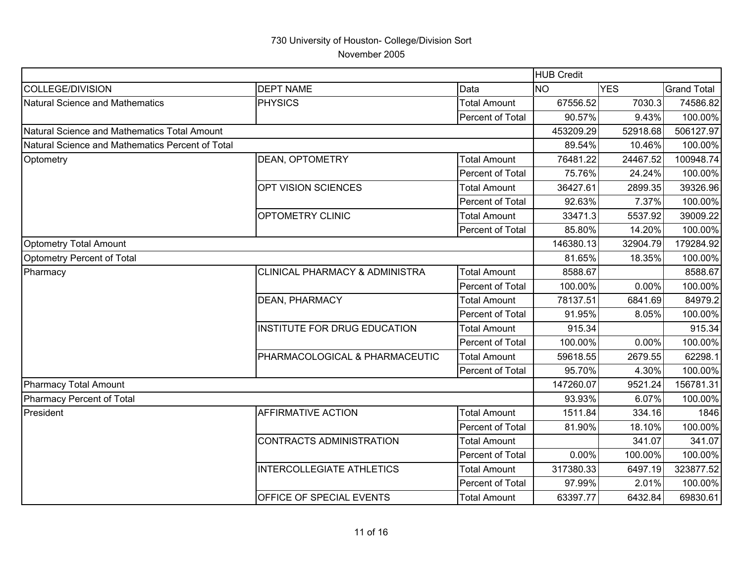| <b>DEPT NAME</b><br>Data<br><b>NO</b><br><b>YES</b><br><b>Grand Total</b><br><b>PHYSICS</b><br><b>Total Amount</b><br>67556.52<br>7030.3<br>Percent of Total<br>90.57%<br>9.43%<br>52918.68<br>Natural Science and Mathematics Total Amount<br>453209.29<br>Natural Science and Mathematics Percent of Total<br>89.54%<br>10.46%<br>24467.52<br><b>DEAN, OPTOMETRY</b><br><b>Total Amount</b><br>76481.22<br>75.76%<br>Percent of Total<br>24.24%<br><b>OPT VISION SCIENCES</b><br>2899.35<br><b>Total Amount</b><br>36427.61<br>7.37%<br>Percent of Total<br>92.63%<br><b>OPTOMETRY CLINIC</b><br><b>Total Amount</b><br>33471.3<br>5537.92<br>Percent of Total<br>85.80%<br>14.20%<br>146380.13<br>32904.79<br>81.65%<br>18.35%<br>8588.67<br><b>CLINICAL PHARMACY &amp; ADMINISTRA</b><br><b>Total Amount</b><br>Percent of Total<br>100.00%<br>0.00%<br><b>DEAN, PHARMACY</b><br><b>Total Amount</b><br>78137.51<br>6841.69<br>91.95%<br>8.05%<br>Percent of Total<br><b>INSTITUTE FOR DRUG EDUCATION</b><br><b>Total Amount</b><br>915.34<br>Percent of Total<br>100.00%<br>0.00%<br>PHARMACOLOGICAL & PHARMACEUTIC<br><b>Total Amount</b><br>59618.55<br>2679.55<br>95.70%<br>4.30%<br>Percent of Total<br>147260.07<br>9521.24<br>93.93%<br>6.07%<br><b>AFFIRMATIVE ACTION</b><br>1511.84<br><b>Total Amount</b><br>334.16<br>Percent of Total<br>18.10%<br>81.90%<br><b>CONTRACTS ADMINISTRATION</b><br><b>Total Amount</b><br>341.07<br>0.00%<br>Percent of Total<br>100.00%<br>6497.19<br><b>INTERCOLLEGIATE ATHLETICS</b><br><b>Total Amount</b><br>317380.33<br><b>Percent of Total</b><br>97.99%<br>2.01%<br>OFFICE OF SPECIAL EVENTS<br>63397.77<br>6432.84<br><b>Total Amount</b> |                                 |  | <b>HUB Credit</b> |           |
|--------------------------------------------------------------------------------------------------------------------------------------------------------------------------------------------------------------------------------------------------------------------------------------------------------------------------------------------------------------------------------------------------------------------------------------------------------------------------------------------------------------------------------------------------------------------------------------------------------------------------------------------------------------------------------------------------------------------------------------------------------------------------------------------------------------------------------------------------------------------------------------------------------------------------------------------------------------------------------------------------------------------------------------------------------------------------------------------------------------------------------------------------------------------------------------------------------------------------------------------------------------------------------------------------------------------------------------------------------------------------------------------------------------------------------------------------------------------------------------------------------------------------------------------------------------------------------------------------------------------------------------------------------------------------------------------------|---------------------------------|--|-------------------|-----------|
|                                                                                                                                                                                                                                                                                                                                                                                                                                                                                                                                                                                                                                                                                                                                                                                                                                                                                                                                                                                                                                                                                                                                                                                                                                                                                                                                                                                                                                                                                                                                                                                                                                                                                                  | COLLEGE/DIVISION                |  |                   |           |
|                                                                                                                                                                                                                                                                                                                                                                                                                                                                                                                                                                                                                                                                                                                                                                                                                                                                                                                                                                                                                                                                                                                                                                                                                                                                                                                                                                                                                                                                                                                                                                                                                                                                                                  | Natural Science and Mathematics |  |                   | 74586.82  |
|                                                                                                                                                                                                                                                                                                                                                                                                                                                                                                                                                                                                                                                                                                                                                                                                                                                                                                                                                                                                                                                                                                                                                                                                                                                                                                                                                                                                                                                                                                                                                                                                                                                                                                  |                                 |  |                   | 100.00%   |
|                                                                                                                                                                                                                                                                                                                                                                                                                                                                                                                                                                                                                                                                                                                                                                                                                                                                                                                                                                                                                                                                                                                                                                                                                                                                                                                                                                                                                                                                                                                                                                                                                                                                                                  |                                 |  |                   | 506127.97 |
|                                                                                                                                                                                                                                                                                                                                                                                                                                                                                                                                                                                                                                                                                                                                                                                                                                                                                                                                                                                                                                                                                                                                                                                                                                                                                                                                                                                                                                                                                                                                                                                                                                                                                                  |                                 |  |                   | 100.00%   |
|                                                                                                                                                                                                                                                                                                                                                                                                                                                                                                                                                                                                                                                                                                                                                                                                                                                                                                                                                                                                                                                                                                                                                                                                                                                                                                                                                                                                                                                                                                                                                                                                                                                                                                  | Optometry                       |  |                   | 100948.74 |
|                                                                                                                                                                                                                                                                                                                                                                                                                                                                                                                                                                                                                                                                                                                                                                                                                                                                                                                                                                                                                                                                                                                                                                                                                                                                                                                                                                                                                                                                                                                                                                                                                                                                                                  |                                 |  |                   | 100.00%   |
|                                                                                                                                                                                                                                                                                                                                                                                                                                                                                                                                                                                                                                                                                                                                                                                                                                                                                                                                                                                                                                                                                                                                                                                                                                                                                                                                                                                                                                                                                                                                                                                                                                                                                                  |                                 |  |                   | 39326.96  |
|                                                                                                                                                                                                                                                                                                                                                                                                                                                                                                                                                                                                                                                                                                                                                                                                                                                                                                                                                                                                                                                                                                                                                                                                                                                                                                                                                                                                                                                                                                                                                                                                                                                                                                  |                                 |  |                   | 100.00%   |
|                                                                                                                                                                                                                                                                                                                                                                                                                                                                                                                                                                                                                                                                                                                                                                                                                                                                                                                                                                                                                                                                                                                                                                                                                                                                                                                                                                                                                                                                                                                                                                                                                                                                                                  |                                 |  |                   | 39009.22  |
|                                                                                                                                                                                                                                                                                                                                                                                                                                                                                                                                                                                                                                                                                                                                                                                                                                                                                                                                                                                                                                                                                                                                                                                                                                                                                                                                                                                                                                                                                                                                                                                                                                                                                                  |                                 |  |                   | 100.00%   |
|                                                                                                                                                                                                                                                                                                                                                                                                                                                                                                                                                                                                                                                                                                                                                                                                                                                                                                                                                                                                                                                                                                                                                                                                                                                                                                                                                                                                                                                                                                                                                                                                                                                                                                  | Optometry Total Amount          |  |                   | 179284.92 |
|                                                                                                                                                                                                                                                                                                                                                                                                                                                                                                                                                                                                                                                                                                                                                                                                                                                                                                                                                                                                                                                                                                                                                                                                                                                                                                                                                                                                                                                                                                                                                                                                                                                                                                  | Optometry Percent of Total      |  |                   | 100.00%   |
|                                                                                                                                                                                                                                                                                                                                                                                                                                                                                                                                                                                                                                                                                                                                                                                                                                                                                                                                                                                                                                                                                                                                                                                                                                                                                                                                                                                                                                                                                                                                                                                                                                                                                                  | Pharmacy                        |  |                   | 8588.67   |
|                                                                                                                                                                                                                                                                                                                                                                                                                                                                                                                                                                                                                                                                                                                                                                                                                                                                                                                                                                                                                                                                                                                                                                                                                                                                                                                                                                                                                                                                                                                                                                                                                                                                                                  |                                 |  |                   | 100.00%   |
|                                                                                                                                                                                                                                                                                                                                                                                                                                                                                                                                                                                                                                                                                                                                                                                                                                                                                                                                                                                                                                                                                                                                                                                                                                                                                                                                                                                                                                                                                                                                                                                                                                                                                                  |                                 |  |                   | 84979.2   |
|                                                                                                                                                                                                                                                                                                                                                                                                                                                                                                                                                                                                                                                                                                                                                                                                                                                                                                                                                                                                                                                                                                                                                                                                                                                                                                                                                                                                                                                                                                                                                                                                                                                                                                  |                                 |  |                   | 100.00%   |
|                                                                                                                                                                                                                                                                                                                                                                                                                                                                                                                                                                                                                                                                                                                                                                                                                                                                                                                                                                                                                                                                                                                                                                                                                                                                                                                                                                                                                                                                                                                                                                                                                                                                                                  |                                 |  |                   | 915.34    |
|                                                                                                                                                                                                                                                                                                                                                                                                                                                                                                                                                                                                                                                                                                                                                                                                                                                                                                                                                                                                                                                                                                                                                                                                                                                                                                                                                                                                                                                                                                                                                                                                                                                                                                  |                                 |  |                   | 100.00%   |
|                                                                                                                                                                                                                                                                                                                                                                                                                                                                                                                                                                                                                                                                                                                                                                                                                                                                                                                                                                                                                                                                                                                                                                                                                                                                                                                                                                                                                                                                                                                                                                                                                                                                                                  |                                 |  |                   | 62298.1   |
|                                                                                                                                                                                                                                                                                                                                                                                                                                                                                                                                                                                                                                                                                                                                                                                                                                                                                                                                                                                                                                                                                                                                                                                                                                                                                                                                                                                                                                                                                                                                                                                                                                                                                                  |                                 |  |                   | 100.00%   |
|                                                                                                                                                                                                                                                                                                                                                                                                                                                                                                                                                                                                                                                                                                                                                                                                                                                                                                                                                                                                                                                                                                                                                                                                                                                                                                                                                                                                                                                                                                                                                                                                                                                                                                  | Pharmacy Total Amount           |  |                   | 156781.31 |
|                                                                                                                                                                                                                                                                                                                                                                                                                                                                                                                                                                                                                                                                                                                                                                                                                                                                                                                                                                                                                                                                                                                                                                                                                                                                                                                                                                                                                                                                                                                                                                                                                                                                                                  | Pharmacy Percent of Total       |  |                   | 100.00%   |
|                                                                                                                                                                                                                                                                                                                                                                                                                                                                                                                                                                                                                                                                                                                                                                                                                                                                                                                                                                                                                                                                                                                                                                                                                                                                                                                                                                                                                                                                                                                                                                                                                                                                                                  | President                       |  |                   | 1846      |
|                                                                                                                                                                                                                                                                                                                                                                                                                                                                                                                                                                                                                                                                                                                                                                                                                                                                                                                                                                                                                                                                                                                                                                                                                                                                                                                                                                                                                                                                                                                                                                                                                                                                                                  |                                 |  |                   | 100.00%   |
|                                                                                                                                                                                                                                                                                                                                                                                                                                                                                                                                                                                                                                                                                                                                                                                                                                                                                                                                                                                                                                                                                                                                                                                                                                                                                                                                                                                                                                                                                                                                                                                                                                                                                                  |                                 |  |                   | 341.07    |
|                                                                                                                                                                                                                                                                                                                                                                                                                                                                                                                                                                                                                                                                                                                                                                                                                                                                                                                                                                                                                                                                                                                                                                                                                                                                                                                                                                                                                                                                                                                                                                                                                                                                                                  |                                 |  |                   | 100.00%   |
|                                                                                                                                                                                                                                                                                                                                                                                                                                                                                                                                                                                                                                                                                                                                                                                                                                                                                                                                                                                                                                                                                                                                                                                                                                                                                                                                                                                                                                                                                                                                                                                                                                                                                                  |                                 |  |                   | 323877.52 |
|                                                                                                                                                                                                                                                                                                                                                                                                                                                                                                                                                                                                                                                                                                                                                                                                                                                                                                                                                                                                                                                                                                                                                                                                                                                                                                                                                                                                                                                                                                                                                                                                                                                                                                  |                                 |  |                   | 100.00%   |
|                                                                                                                                                                                                                                                                                                                                                                                                                                                                                                                                                                                                                                                                                                                                                                                                                                                                                                                                                                                                                                                                                                                                                                                                                                                                                                                                                                                                                                                                                                                                                                                                                                                                                                  |                                 |  |                   | 69830.61  |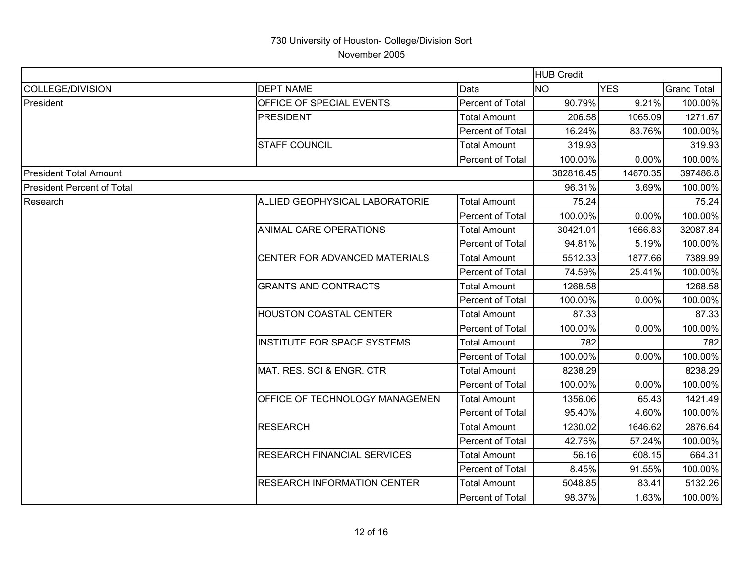|                                    |                                    |                     | <b>HUB Credit</b> |            |                    |
|------------------------------------|------------------------------------|---------------------|-------------------|------------|--------------------|
| COLLEGE/DIVISION                   | <b>DEPT NAME</b>                   | Data                | <b>NO</b>         | <b>YES</b> | <b>Grand Total</b> |
| President                          | OFFICE OF SPECIAL EVENTS           | Percent of Total    | 90.79%            | 9.21%      | 100.00%            |
|                                    | <b>PRESIDENT</b>                   | <b>Total Amount</b> | 206.58            | 1065.09    | 1271.67            |
|                                    |                                    | Percent of Total    | 16.24%            | 83.76%     | 100.00%            |
|                                    | <b>STAFF COUNCIL</b>               | <b>Total Amount</b> | 319.93            |            | 319.93             |
|                                    |                                    | Percent of Total    | 100.00%           | 0.00%      | 100.00%            |
| <b>President Total Amount</b>      |                                    |                     | 382816.45         | 14670.35   | 397486.8           |
| <b>IPresident Percent of Total</b> |                                    |                     | 96.31%            | 3.69%      | 100.00%            |
| Research                           | ALLIED GEOPHYSICAL LABORATORIE     | <b>Total Amount</b> | 75.24             |            | 75.24              |
|                                    |                                    | Percent of Total    | 100.00%           | 0.00%      | 100.00%            |
|                                    | ANIMAL CARE OPERATIONS             | <b>Total Amount</b> | 30421.01          | 1666.83    | 32087.84           |
|                                    |                                    | Percent of Total    | 94.81%            | 5.19%      | 100.00%            |
|                                    | CENTER FOR ADVANCED MATERIALS      | Total Amount        | 5512.33           | 1877.66    | 7389.99            |
|                                    |                                    | Percent of Total    | 74.59%            | 25.41%     | 100.00%            |
|                                    | <b>GRANTS AND CONTRACTS</b>        | <b>Total Amount</b> | 1268.58           |            | 1268.58            |
|                                    |                                    | Percent of Total    | 100.00%           | 0.00%      | 100.00%            |
|                                    | HOUSTON COASTAL CENTER             | <b>Total Amount</b> | 87.33             |            | 87.33              |
|                                    |                                    | Percent of Total    | 100.00%           | 0.00%      | 100.00%            |
|                                    | <b>INSTITUTE FOR SPACE SYSTEMS</b> | <b>Total Amount</b> | 782               |            | 782                |
|                                    |                                    | Percent of Total    | 100.00%           | 0.00%      | 100.00%            |
|                                    | MAT. RES. SCI & ENGR. CTR          | <b>Total Amount</b> | 8238.29           |            | 8238.29            |
|                                    |                                    | Percent of Total    | 100.00%           | 0.00%      | 100.00%            |
|                                    | OFFICE OF TECHNOLOGY MANAGEMEN     | Total Amount        | 1356.06           | 65.43      | 1421.49            |
|                                    |                                    | Percent of Total    | 95.40%            | 4.60%      | 100.00%            |
|                                    | <b>RESEARCH</b>                    | <b>Total Amount</b> | 1230.02           | 1646.62    | 2876.64            |
|                                    |                                    | Percent of Total    | 42.76%            | 57.24%     | 100.00%            |
|                                    | RESEARCH FINANCIAL SERVICES        | <b>Total Amount</b> | 56.16             | 608.15     | 664.31             |
|                                    |                                    | Percent of Total    | 8.45%             | 91.55%     | 100.00%            |
|                                    | <b>RESEARCH INFORMATION CENTER</b> | <b>Total Amount</b> | 5048.85           | 83.41      | 5132.26            |
|                                    |                                    | Percent of Total    | 98.37%            | 1.63%      | 100.00%            |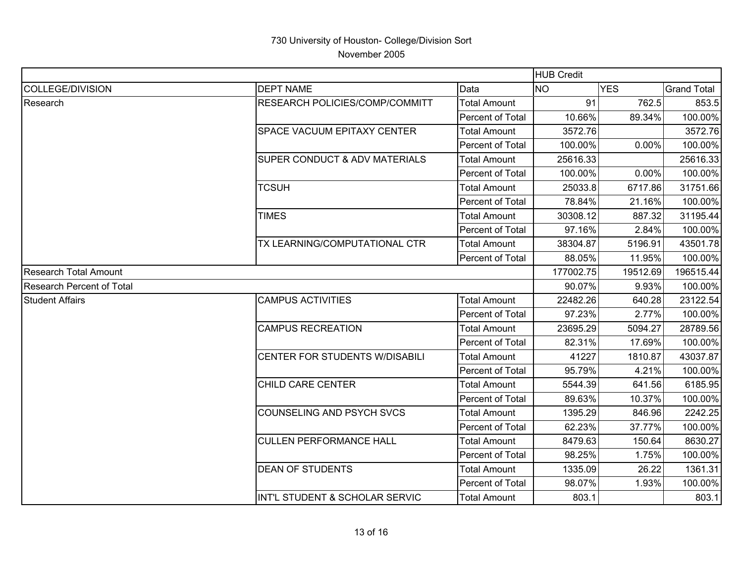|                           |                                          | <b>HUB Credit</b>       |           |            |                    |
|---------------------------|------------------------------------------|-------------------------|-----------|------------|--------------------|
| COLLEGE/DIVISION          | <b>DEPT NAME</b>                         | Data                    | <b>NO</b> | <b>YES</b> | <b>Grand Total</b> |
| Research                  | <b>RESEARCH POLICIES/COMP/COMMITT</b>    | <b>Total Amount</b>     | 91        | 762.5      | 853.5              |
|                           |                                          | <b>Percent of Total</b> | 10.66%    | 89.34%     | 100.00%            |
|                           | <b>SPACE VACUUM EPITAXY CENTER</b>       | <b>Total Amount</b>     | 3572.76   |            | 3572.76            |
|                           |                                          | <b>Percent of Total</b> | 100.00%   | 0.00%      | 100.00%            |
|                           | <b>SUPER CONDUCT &amp; ADV MATERIALS</b> | <b>Total Amount</b>     | 25616.33  |            | 25616.33           |
|                           |                                          | Percent of Total        | 100.00%   | 0.00%      | 100.00%            |
|                           | <b>TCSUH</b>                             | <b>Total Amount</b>     | 25033.8   | 6717.86    | 31751.66           |
|                           |                                          | Percent of Total        | 78.84%    | 21.16%     | 100.00%            |
|                           | <b>TIMES</b>                             | Total Amount            | 30308.12  | 887.32     | 31195.44           |
|                           |                                          | Percent of Total        | 97.16%    | 2.84%      | 100.00%            |
|                           | TX LEARNING/COMPUTATIONAL CTR            | <b>Total Amount</b>     | 38304.87  | 5196.91    | 43501.78           |
|                           |                                          | Percent of Total        | 88.05%    | 11.95%     | 100.00%            |
| Research Total Amount     |                                          |                         | 177002.75 | 19512.69   | 196515.44          |
| Research Percent of Total |                                          |                         | 90.07%    | 9.93%      | 100.00%            |
| <b>Student Affairs</b>    | <b>CAMPUS ACTIVITIES</b>                 | <b>Total Amount</b>     | 22482.26  | 640.28     | 23122.54           |
|                           |                                          | <b>Percent of Total</b> | 97.23%    | 2.77%      | 100.00%            |
|                           | <b>CAMPUS RECREATION</b>                 | <b>Total Amount</b>     | 23695.29  | 5094.27    | 28789.56           |
|                           |                                          | <b>Percent of Total</b> | 82.31%    | 17.69%     | 100.00%            |
|                           | CENTER FOR STUDENTS W/DISABILI           | Total Amount            | 41227     | 1810.87    | 43037.87           |
|                           |                                          | Percent of Total        | 95.79%    | 4.21%      | 100.00%            |
|                           | <b>CHILD CARE CENTER</b>                 | <b>Total Amount</b>     | 5544.39   | 641.56     | 6185.95            |
|                           |                                          | <b>Percent of Total</b> | 89.63%    | 10.37%     | 100.00%            |
|                           | <b>COUNSELING AND PSYCH SVCS</b>         | <b>Total Amount</b>     | 1395.29   | 846.96     | 2242.25            |
|                           |                                          | Percent of Total        | 62.23%    | 37.77%     | 100.00%            |
|                           | <b>CULLEN PERFORMANCE HALL</b>           | <b>Total Amount</b>     | 8479.63   | 150.64     | 8630.27            |
|                           |                                          | Percent of Total        | 98.25%    | 1.75%      | 100.00%            |
|                           | <b>DEAN OF STUDENTS</b>                  | Total Amount            | 1335.09   | 26.22      | 1361.31            |
|                           |                                          | Percent of Total        | 98.07%    | 1.93%      | 100.00%            |
|                           | INT'L STUDENT & SCHOLAR SERVIC           | <b>Total Amount</b>     | 803.1     |            | 803.1              |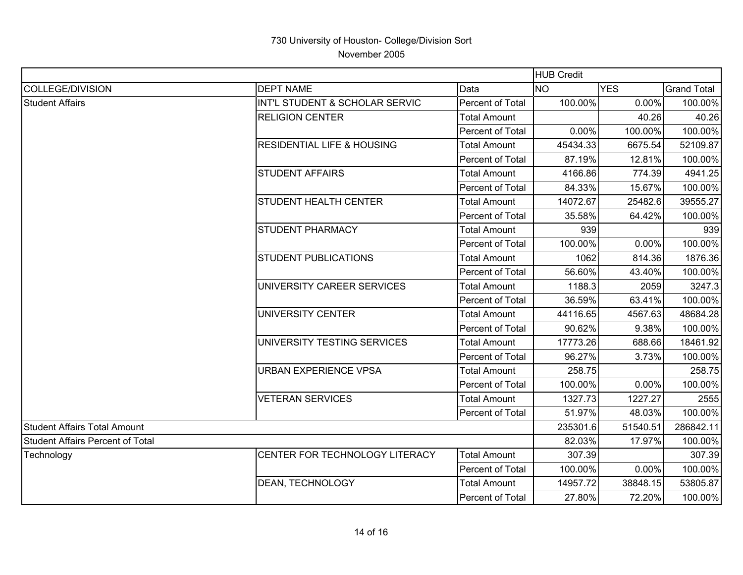|                                     |                                       |                     | <b>HUB Credit</b> |            |                    |
|-------------------------------------|---------------------------------------|---------------------|-------------------|------------|--------------------|
| COLLEGE/DIVISION                    | <b>DEPT NAME</b>                      | Data                | <b>NO</b>         | <b>YES</b> | <b>Grand Total</b> |
| <b>Student Affairs</b>              | INT'L STUDENT & SCHOLAR SERVIC        | Percent of Total    | 100.00%           | 0.00%      | 100.00%            |
|                                     | <b>RELIGION CENTER</b>                | <b>Total Amount</b> |                   | 40.26      | 40.26              |
|                                     |                                       | Percent of Total    | 0.00%             | 100.00%    | 100.00%            |
|                                     | <b>RESIDENTIAL LIFE &amp; HOUSING</b> | <b>Total Amount</b> | 45434.33          | 6675.54    | 52109.87           |
|                                     |                                       | Percent of Total    | 87.19%            | 12.81%     | 100.00%            |
|                                     | <b>STUDENT AFFAIRS</b>                | <b>Total Amount</b> | 4166.86           | 774.39     | 4941.25            |
|                                     |                                       | Percent of Total    | 84.33%            | 15.67%     | 100.00%            |
|                                     | <b>STUDENT HEALTH CENTER</b>          | <b>Total Amount</b> | 14072.67          | 25482.6    | 39555.27           |
|                                     |                                       | Percent of Total    | 35.58%            | 64.42%     | 100.00%            |
|                                     | <b>STUDENT PHARMACY</b>               | <b>Total Amount</b> | 939               |            | 939                |
|                                     |                                       | Percent of Total    | 100.00%           | 0.00%      | 100.00%            |
|                                     | <b>STUDENT PUBLICATIONS</b>           | <b>Total Amount</b> | 1062              | 814.36     | 1876.36            |
|                                     |                                       | Percent of Total    | 56.60%            | 43.40%     | 100.00%            |
|                                     | UNIVERSITY CAREER SERVICES            | <b>Total Amount</b> | 1188.3            | 2059       | 3247.3             |
|                                     |                                       | Percent of Total    | 36.59%            | 63.41%     | 100.00%            |
|                                     | UNIVERSITY CENTER                     | <b>Total Amount</b> | 44116.65          | 4567.63    | 48684.28           |
|                                     |                                       | Percent of Total    | 90.62%            | 9.38%      | 100.00%            |
|                                     | UNIVERSITY TESTING SERVICES           | <b>Total Amount</b> | 17773.26          | 688.66     | 18461.92           |
|                                     |                                       | Percent of Total    | 96.27%            | 3.73%      | 100.00%            |
|                                     | <b>URBAN EXPERIENCE VPSA</b>          | <b>Total Amount</b> | 258.75            |            | 258.75             |
|                                     |                                       | Percent of Total    | 100.00%           | 0.00%      | 100.00%            |
|                                     | <b>VETERAN SERVICES</b>               | <b>Total Amount</b> | 1327.73           | 1227.27    | 2555               |
|                                     |                                       | Percent of Total    | 51.97%            | 48.03%     | 100.00%            |
| <b>Student Affairs Total Amount</b> |                                       | 235301.6            | 51540.51          | 286842.11  |                    |
| Student Affairs Percent of Total    |                                       |                     | 82.03%            | 17.97%     | 100.00%            |
| Technology                          | CENTER FOR TECHNOLOGY LITERACY        | <b>Total Amount</b> | 307.39            |            | 307.39             |
|                                     |                                       | Percent of Total    | 100.00%           | 0.00%      | 100.00%            |
|                                     | DEAN, TECHNOLOGY                      | <b>Total Amount</b> | 14957.72          | 38848.15   | 53805.87           |
|                                     |                                       | Percent of Total    | 27.80%            | 72.20%     | 100.00%            |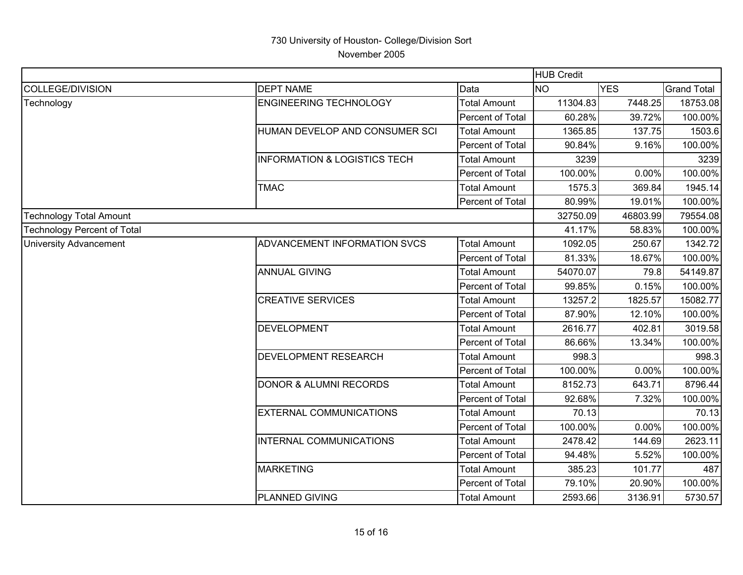|                                |                                         | <b>HUB Credit</b>   |           |            |                    |
|--------------------------------|-----------------------------------------|---------------------|-----------|------------|--------------------|
| COLLEGE/DIVISION               | <b>DEPT NAME</b>                        | Data                | <b>NO</b> | <b>YES</b> | <b>Grand Total</b> |
| Technology                     | <b>ENGINEERING TECHNOLOGY</b>           | <b>Total Amount</b> | 11304.83  | 7448.25    | 18753.08           |
|                                |                                         | Percent of Total    | 60.28%    | 39.72%     | 100.00%            |
|                                | HUMAN DEVELOP AND CONSUMER SCI          | <b>Total Amount</b> | 1365.85   | 137.75     | 1503.6             |
|                                |                                         | Percent of Total    | 90.84%    | 9.16%      | 100.00%            |
|                                | <b>INFORMATION &amp; LOGISTICS TECH</b> | <b>Total Amount</b> | 3239      |            | 3239               |
|                                |                                         | Percent of Total    | 100.00%   | 0.00%      | 100.00%            |
|                                | <b>TMAC</b>                             | <b>Total Amount</b> | 1575.3    | 369.84     | 1945.14            |
|                                |                                         | Percent of Total    | 80.99%    | 19.01%     | 100.00%            |
| <b>Technology Total Amount</b> |                                         |                     | 32750.09  | 46803.99   | 79554.08           |
| Technology Percent of Total    |                                         |                     | 41.17%    | 58.83%     | 100.00%            |
| <b>University Advancement</b>  | <b>ADVANCEMENT INFORMATION SVCS</b>     | <b>Total Amount</b> | 1092.05   | 250.67     | 1342.72            |
|                                |                                         | Percent of Total    | 81.33%    | 18.67%     | 100.00%            |
|                                | <b>ANNUAL GIVING</b>                    | <b>Total Amount</b> | 54070.07  | 79.8       | 54149.87           |
|                                |                                         | Percent of Total    | 99.85%    | 0.15%      | 100.00%            |
|                                | <b>CREATIVE SERVICES</b>                | <b>Total Amount</b> | 13257.2   | 1825.57    | 15082.77           |
|                                |                                         | Percent of Total    | 87.90%    | 12.10%     | 100.00%            |
|                                | <b>DEVELOPMENT</b>                      | <b>Total Amount</b> | 2616.77   | 402.81     | 3019.58            |
|                                |                                         | Percent of Total    | 86.66%    | 13.34%     | 100.00%            |
|                                | DEVELOPMENT RESEARCH                    | <b>Total Amount</b> | 998.3     |            | 998.3              |
|                                |                                         | Percent of Total    | 100.00%   | 0.00%      | 100.00%            |
|                                | <b>DONOR &amp; ALUMNI RECORDS</b>       | <b>Total Amount</b> | 8152.73   | 643.71     | 8796.44            |
|                                |                                         | Percent of Total    | 92.68%    | 7.32%      | 100.00%            |
|                                | <b>EXTERNAL COMMUNICATIONS</b>          | <b>Total Amount</b> | 70.13     |            | 70.13              |
|                                |                                         | Percent of Total    | 100.00%   | 0.00%      | 100.00%            |
|                                | INTERNAL COMMUNICATIONS                 | <b>Total Amount</b> | 2478.42   | 144.69     | 2623.11            |
|                                |                                         | Percent of Total    | 94.48%    | 5.52%      | 100.00%            |
|                                | <b>MARKETING</b>                        | <b>Total Amount</b> | 385.23    | 101.77     | 487                |
|                                |                                         | Percent of Total    | 79.10%    | 20.90%     | 100.00%            |
|                                | <b>PLANNED GIVING</b>                   | <b>Total Amount</b> | 2593.66   | 3136.91    | 5730.57            |